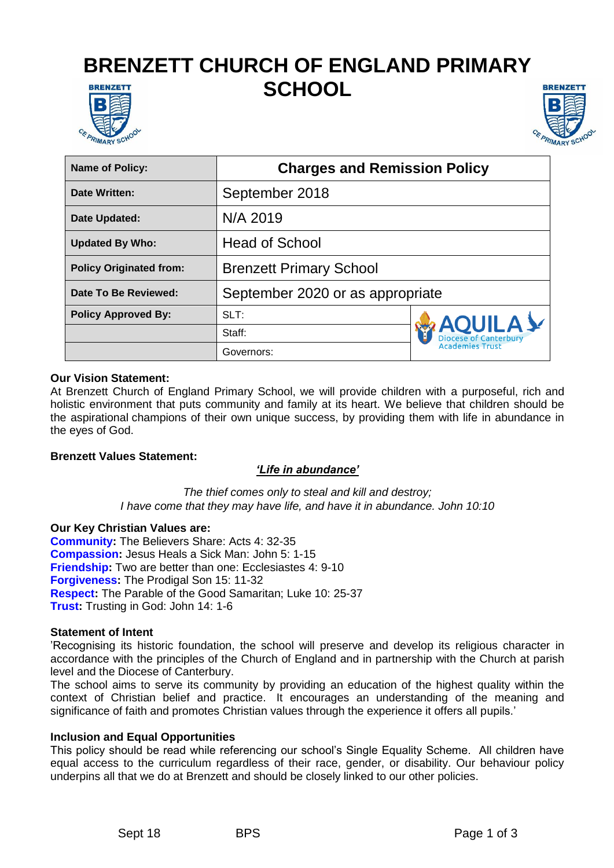# **BRENZETT CHURCH OF ENGLAND PRIMARY SCHOOL BRENZETT**





| <b>Name of Policy:</b>         | <b>Charges and Remission Policy</b> |                                                                          |
|--------------------------------|-------------------------------------|--------------------------------------------------------------------------|
| Date Written:                  | September 2018                      |                                                                          |
| Date Updated:                  | N/A 2019                            |                                                                          |
| <b>Updated By Who:</b>         | <b>Head of School</b>               |                                                                          |
| <b>Policy Originated from:</b> | <b>Brenzett Primary School</b>      |                                                                          |
| Date To Be Reviewed:           | September 2020 or as appropriate    |                                                                          |
| <b>Policy Approved By:</b>     | SLT:                                | <b>AQUILAY</b><br><b>Diocese of Canterbury</b><br><b>Academies Trust</b> |
|                                | Staff:                              |                                                                          |
|                                | Governors:                          |                                                                          |

### **Our Vision Statement:**

At Brenzett Church of England Primary School, we will provide children with a purposeful, rich and holistic environment that puts community and family at its heart. We believe that children should be the aspirational champions of their own unique success, by providing them with life in abundance in the eyes of God.

#### **Brenzett Values Statement:**

### *'Life in abundance'*

*The thief comes only to steal and kill and destroy; I have come that they may have life, and have it in abundance. John 10:10*

#### **Our Key Christian Values are:**

**Community:** The Believers Share: Acts 4: 32-35 **Compassion:** Jesus Heals a Sick Man: John 5: 1-15 **Friendship:** Two are better than one: Ecclesiastes 4: 9-10 **Forgiveness:** The Prodigal Son 15: 11-32 **Respect:** The Parable of the Good Samaritan; Luke 10: 25-37 **Trust:** Trusting in God: John 14: 1-6

#### **Statement of Intent**

'Recognising its historic foundation, the school will preserve and develop its religious character in accordance with the principles of the Church of England and in partnership with the Church at parish level and the Diocese of Canterbury.

The school aims to serve its community by providing an education of the highest quality within the context of Christian belief and practice. It encourages an understanding of the meaning and significance of faith and promotes Christian values through the experience it offers all pupils.'

#### **Inclusion and Equal Opportunities**

This policy should be read while referencing our school's Single Equality Scheme. All children have equal access to the curriculum regardless of their race, gender, or disability. Our behaviour policy underpins all that we do at Brenzett and should be closely linked to our other policies.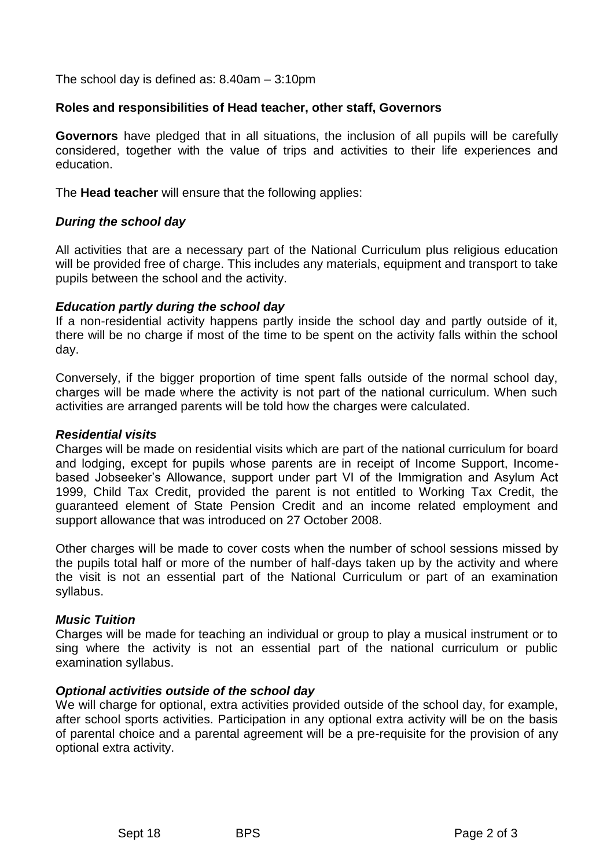The school day is defined as: 8.40am – 3:10pm

#### **Roles and responsibilities of Head teacher, other staff, Governors**

**Governors** have pledged that in all situations, the inclusion of all pupils will be carefully considered, together with the value of trips and activities to their life experiences and education.

The **Head teacher** will ensure that the following applies:

### *During the school day*

All activities that are a necessary part of the National Curriculum plus religious education will be provided free of charge. This includes any materials, equipment and transport to take pupils between the school and the activity.

#### *Education partly during the school day*

If a non-residential activity happens partly inside the school day and partly outside of it, there will be no charge if most of the time to be spent on the activity falls within the school day.

Conversely, if the bigger proportion of time spent falls outside of the normal school day, charges will be made where the activity is not part of the national curriculum. When such activities are arranged parents will be told how the charges were calculated.

#### *Residential visits*

Charges will be made on residential visits which are part of the national curriculum for board and lodging, except for pupils whose parents are in receipt of Income Support, Incomebased Jobseeker's Allowance, support under part VI of the Immigration and Asylum Act 1999, Child Tax Credit, provided the parent is not entitled to Working Tax Credit, the guaranteed element of State Pension Credit and an income related employment and support allowance that was introduced on 27 October 2008.

Other charges will be made to cover costs when the number of school sessions missed by the pupils total half or more of the number of half-days taken up by the activity and where the visit is not an essential part of the National Curriculum or part of an examination syllabus.

#### *Music Tuition*

Charges will be made for teaching an individual or group to play a musical instrument or to sing where the activity is not an essential part of the national curriculum or public examination syllabus.

### *Optional activities outside of the school day*

We will charge for optional, extra activities provided outside of the school day, for example, after school sports activities. Participation in any optional extra activity will be on the basis of parental choice and a parental agreement will be a pre-requisite for the provision of any optional extra activity.